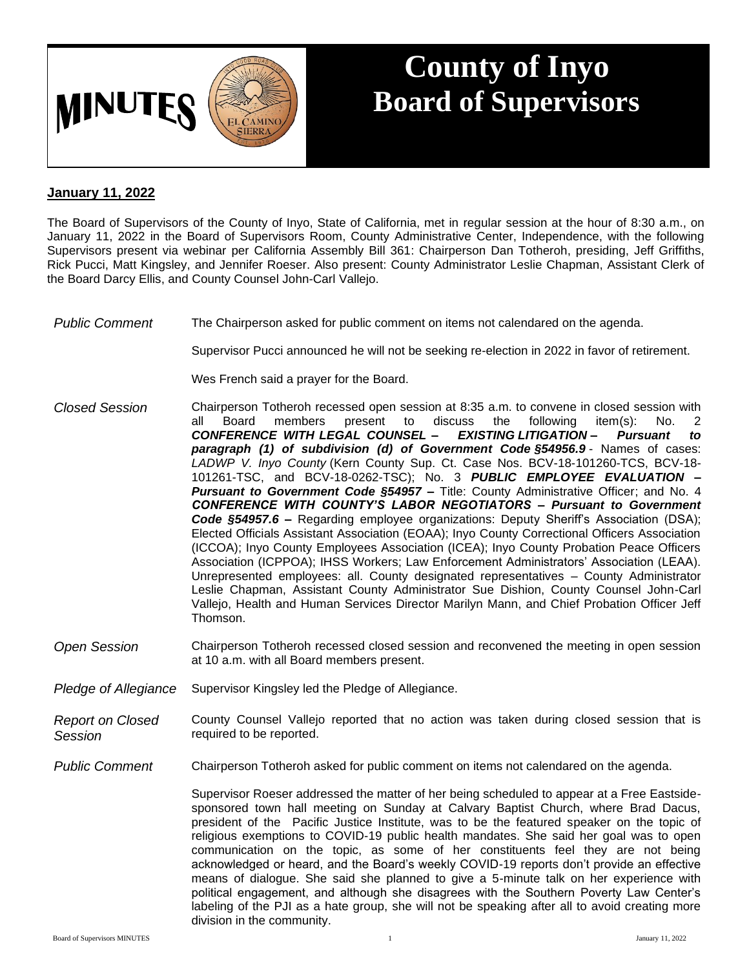

## **County of Inyo Board of Supervisors**

## **January 11, 2022**

The Board of Supervisors of the County of Inyo, State of California, met in regular session at the hour of 8:30 a.m., on January 11, 2022 in the Board of Supervisors Room, County Administrative Center, Independence, with the following Supervisors present via webinar per California Assembly Bill 361: Chairperson Dan Totheroh, presiding, Jeff Griffiths, Rick Pucci, Matt Kingsley, and Jennifer Roeser. Also present: County Administrator Leslie Chapman, Assistant Clerk of the Board Darcy Ellis, and County Counsel John-Carl Vallejo.

## *Public Comment* The Chairperson asked for public comment on items not calendared on the agenda.

Supervisor Pucci announced he will not be seeking re-election in 2022 in favor of retirement.

Wes French said a prayer for the Board.

- *Closed Session* Chairperson Totheroh recessed open session at 8:35 a.m. to convene in closed session with present to *CONFERENCE WITH LEGAL COUNSEL – EXISTING LITIGATION* **–** *Pursuant to paragraph (1) of subdivision (d) of Government Code §54956.9* - Names of cases: *LADWP V. Inyo County* (Kern County Sup. Ct. Case Nos. BCV-18-101260-TCS, BCV-18- 101261-TSC, and BCV-18-0262-TSC); No. 3 *PUBLIC EMPLOYEE EVALUATION – Pursuant to Government Code §54957 –* Title: County Administrative Officer; and No. 4 *CONFERENCE WITH COUNTY'S LABOR NEGOTIATORS – Pursuant to Government Code §54957.6 –* Regarding employee organizations: Deputy Sheriff's Association (DSA); Elected Officials Assistant Association (EOAA); Inyo County Correctional Officers Association (ICCOA); Inyo County Employees Association (ICEA); Inyo County Probation Peace Officers Association (ICPPOA); IHSS Workers; Law Enforcement Administrators' Association (LEAA). Unrepresented employees: all. County designated representatives – County Administrator Leslie Chapman, Assistant County Administrator Sue Dishion, County Counsel John-Carl Vallejo, Health and Human Services Director Marilyn Mann, and Chief Probation Officer Jeff Thomson.
- *Open Session* Chairperson Totheroh recessed closed session and reconvened the meeting in open session at 10 a.m. with all Board members present.
- *Pledge of Allegiance* Supervisor Kingsley led the Pledge of Allegiance.
- *Report on Closed Session* County Counsel Vallejo reported that no action was taken during closed session that is required to be reported.
- *Public Comment* Chairperson Totheroh asked for public comment on items not calendared on the agenda.

Supervisor Roeser addressed the matter of her being scheduled to appear at a Free Eastsidesponsored town hall meeting on Sunday at Calvary Baptist Church, where Brad Dacus, president of the Pacific Justice Institute, was to be the featured speaker on the topic of religious exemptions to COVID-19 public health mandates. She said her goal was to open communication on the topic, as some of her constituents feel they are not being acknowledged or heard, and the Board's weekly COVID-19 reports don't provide an effective means of dialogue. She said she planned to give a 5-minute talk on her experience with political engagement, and although she disagrees with the Southern Poverty Law Center's labeling of the PJI as a hate group, she will not be speaking after all to avoid creating more division in the community.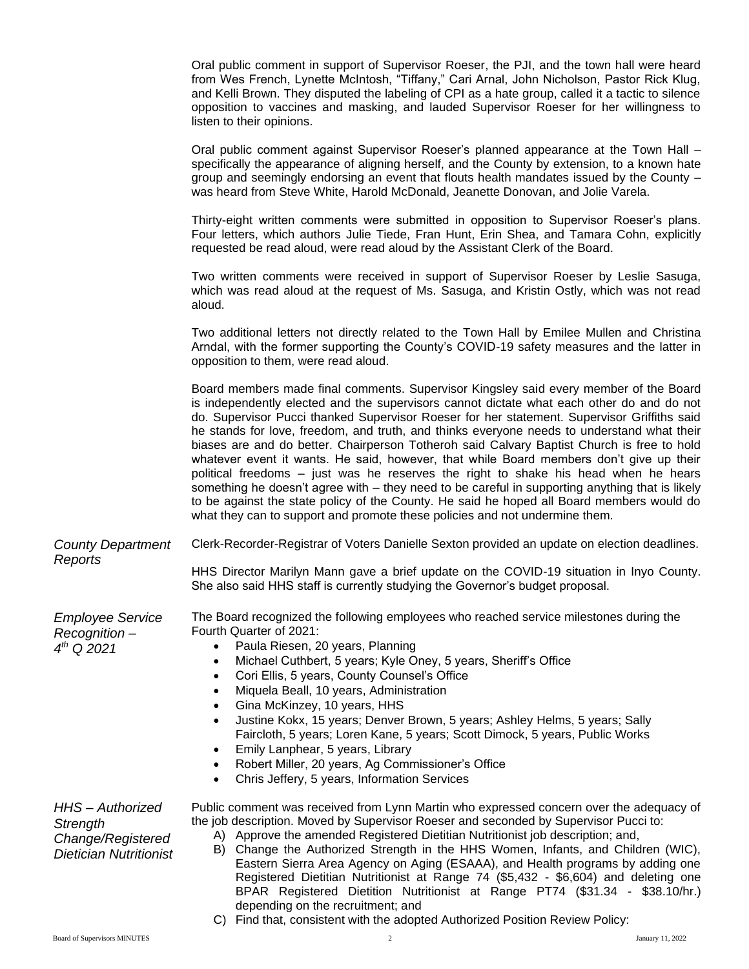|                                                                                  | Oral public comment in support of Supervisor Roeser, the PJI, and the town hall were heard<br>from Wes French, Lynette McIntosh, "Tiffany," Cari Arnal, John Nicholson, Pastor Rick Klug,<br>and Kelli Brown. They disputed the labeling of CPI as a hate group, called it a tactic to silence<br>opposition to vaccines and masking, and lauded Supervisor Roeser for her willingness to<br>listen to their opinions.                                                                                                                                                                                                                                                                                                                                                                                                                                                                                                                         |
|----------------------------------------------------------------------------------|------------------------------------------------------------------------------------------------------------------------------------------------------------------------------------------------------------------------------------------------------------------------------------------------------------------------------------------------------------------------------------------------------------------------------------------------------------------------------------------------------------------------------------------------------------------------------------------------------------------------------------------------------------------------------------------------------------------------------------------------------------------------------------------------------------------------------------------------------------------------------------------------------------------------------------------------|
|                                                                                  | Oral public comment against Supervisor Roeser's planned appearance at the Town Hall -<br>specifically the appearance of aligning herself, and the County by extension, to a known hate<br>group and seemingly endorsing an event that flouts health mandates issued by the County -<br>was heard from Steve White, Harold McDonald, Jeanette Donovan, and Jolie Varela.                                                                                                                                                                                                                                                                                                                                                                                                                                                                                                                                                                        |
|                                                                                  | Thirty-eight written comments were submitted in opposition to Supervisor Roeser's plans.<br>Four letters, which authors Julie Tiede, Fran Hunt, Erin Shea, and Tamara Cohn, explicitly<br>requested be read aloud, were read aloud by the Assistant Clerk of the Board.                                                                                                                                                                                                                                                                                                                                                                                                                                                                                                                                                                                                                                                                        |
|                                                                                  | Two written comments were received in support of Supervisor Roeser by Leslie Sasuga,<br>which was read aloud at the request of Ms. Sasuga, and Kristin Ostly, which was not read<br>aloud.                                                                                                                                                                                                                                                                                                                                                                                                                                                                                                                                                                                                                                                                                                                                                     |
|                                                                                  | Two additional letters not directly related to the Town Hall by Emilee Mullen and Christina<br>Arndal, with the former supporting the County's COVID-19 safety measures and the latter in<br>opposition to them, were read aloud.                                                                                                                                                                                                                                                                                                                                                                                                                                                                                                                                                                                                                                                                                                              |
|                                                                                  | Board members made final comments. Supervisor Kingsley said every member of the Board<br>is independently elected and the supervisors cannot dictate what each other do and do not<br>do. Supervisor Pucci thanked Supervisor Roeser for her statement. Supervisor Griffiths said<br>he stands for love, freedom, and truth, and thinks everyone needs to understand what their<br>biases are and do better. Chairperson Totheroh said Calvary Baptist Church is free to hold<br>whatever event it wants. He said, however, that while Board members don't give up their<br>political freedoms – just was he reserves the right to shake his head when he hears<br>something he doesn't agree with – they need to be careful in supporting anything that is likely<br>to be against the state policy of the County. He said he hoped all Board members would do<br>what they can to support and promote these policies and not undermine them. |
| <b>County Department</b><br>Reports                                              | Clerk-Recorder-Registrar of Voters Danielle Sexton provided an update on election deadlines.<br>HHS Director Marilyn Mann gave a brief update on the COVID-19 situation in Inyo County.                                                                                                                                                                                                                                                                                                                                                                                                                                                                                                                                                                                                                                                                                                                                                        |
|                                                                                  | She also said HHS staff is currently studying the Governor's budget proposal.                                                                                                                                                                                                                                                                                                                                                                                                                                                                                                                                                                                                                                                                                                                                                                                                                                                                  |
| <b>Employee Service</b><br>Recognition-<br>$4^{th}$ Q 2021                       | The Board recognized the following employees who reached service milestones during the<br>Fourth Quarter of 2021:<br>Paula Riesen, 20 years, Planning                                                                                                                                                                                                                                                                                                                                                                                                                                                                                                                                                                                                                                                                                                                                                                                          |
|                                                                                  | Michael Cuthbert, 5 years; Kyle Oney, 5 years, Sheriff's Office<br>٠                                                                                                                                                                                                                                                                                                                                                                                                                                                                                                                                                                                                                                                                                                                                                                                                                                                                           |
|                                                                                  | Cori Ellis, 5 years, County Counsel's Office<br>Miquela Beall, 10 years, Administration                                                                                                                                                                                                                                                                                                                                                                                                                                                                                                                                                                                                                                                                                                                                                                                                                                                        |
|                                                                                  | Gina McKinzey, 10 years, HHS<br>Justine Kokx, 15 years; Denver Brown, 5 years; Ashley Helms, 5 years; Sally                                                                                                                                                                                                                                                                                                                                                                                                                                                                                                                                                                                                                                                                                                                                                                                                                                    |
|                                                                                  | Faircloth, 5 years; Loren Kane, 5 years; Scott Dimock, 5 years, Public Works                                                                                                                                                                                                                                                                                                                                                                                                                                                                                                                                                                                                                                                                                                                                                                                                                                                                   |
|                                                                                  | Emily Lanphear, 5 years, Library<br>$\bullet$<br>Robert Miller, 20 years, Ag Commissioner's Office                                                                                                                                                                                                                                                                                                                                                                                                                                                                                                                                                                                                                                                                                                                                                                                                                                             |
|                                                                                  | Chris Jeffery, 5 years, Information Services<br>٠                                                                                                                                                                                                                                                                                                                                                                                                                                                                                                                                                                                                                                                                                                                                                                                                                                                                                              |
| HHS-Authorized<br>Strength<br>Change/Registered<br><b>Dietician Nutritionist</b> | Public comment was received from Lynn Martin who expressed concern over the adequacy of<br>the job description. Moved by Supervisor Roeser and seconded by Supervisor Pucci to:<br>A) Approve the amended Registered Dietitian Nutritionist job description; and,<br>B) Change the Authorized Strength in the HHS Women, Infants, and Children (WIC),<br>Eastern Sierra Area Agency on Aging (ESAAA), and Health programs by adding one<br>Registered Dietitian Nutritionist at Range 74 (\$5,432 - \$6,604) and deleting one<br>BPAR Registered Dietition Nutritionist at Range PT74 (\$31.34 - \$38.10/hr.)                                                                                                                                                                                                                                                                                                                                  |
|                                                                                  | depending on the recruitment; and                                                                                                                                                                                                                                                                                                                                                                                                                                                                                                                                                                                                                                                                                                                                                                                                                                                                                                              |

C) Find that, consistent with the adopted Authorized Position Review Policy: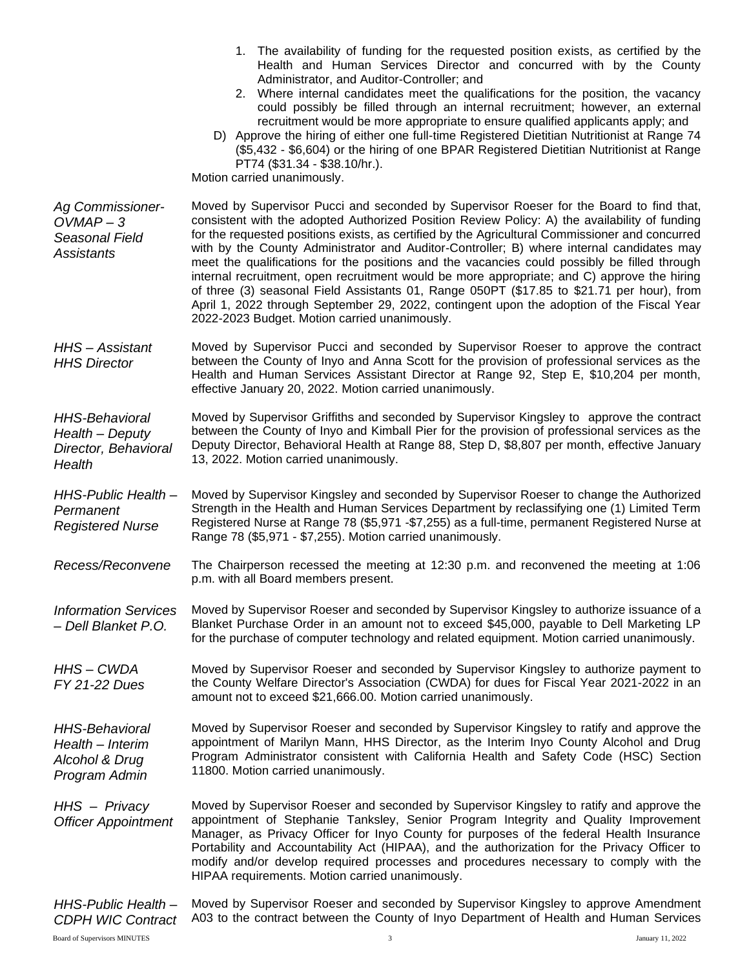|                                                                              | 1. The availability of funding for the requested position exists, as certified by the<br>Health and Human Services Director and concurred with by the County<br>Administrator, and Auditor-Controller; and<br>2. Where internal candidates meet the qualifications for the position, the vacancy<br>could possibly be filled through an internal recruitment; however, an external<br>recruitment would be more appropriate to ensure qualified applicants apply; and<br>D) Approve the hiring of either one full-time Registered Dietitian Nutritionist at Range 74<br>(\$5,432 - \$6,604) or the hiring of one BPAR Registered Dietitian Nutritionist at Range<br>PT74 (\$31.34 - \$38.10/hr.).<br>Motion carried unanimously.                                                                                                    |
|------------------------------------------------------------------------------|-------------------------------------------------------------------------------------------------------------------------------------------------------------------------------------------------------------------------------------------------------------------------------------------------------------------------------------------------------------------------------------------------------------------------------------------------------------------------------------------------------------------------------------------------------------------------------------------------------------------------------------------------------------------------------------------------------------------------------------------------------------------------------------------------------------------------------------|
| <b>Ag Commissioner-</b><br>$OWMAP - 3$<br>Seasonal Field<br>Assistants       | Moved by Supervisor Pucci and seconded by Supervisor Roeser for the Board to find that,<br>consistent with the adopted Authorized Position Review Policy: A) the availability of funding<br>for the requested positions exists, as certified by the Agricultural Commissioner and concurred<br>with by the County Administrator and Auditor-Controller; B) where internal candidates may<br>meet the qualifications for the positions and the vacancies could possibly be filled through<br>internal recruitment, open recruitment would be more appropriate; and C) approve the hiring<br>of three (3) seasonal Field Assistants 01, Range 050PT (\$17.85 to \$21.71 per hour), from<br>April 1, 2022 through September 29, 2022, contingent upon the adoption of the Fiscal Year<br>2022-2023 Budget. Motion carried unanimously. |
| HHS-Assistant<br><b>HHS Director</b>                                         | Moved by Supervisor Pucci and seconded by Supervisor Roeser to approve the contract<br>between the County of Inyo and Anna Scott for the provision of professional services as the<br>Health and Human Services Assistant Director at Range 92, Step E, \$10,204 per month,<br>effective January 20, 2022. Motion carried unanimously.                                                                                                                                                                                                                                                                                                                                                                                                                                                                                              |
| <b>HHS-Behavioral</b><br>Health - Deputy<br>Director, Behavioral<br>Health   | Moved by Supervisor Griffiths and seconded by Supervisor Kingsley to approve the contract<br>between the County of Inyo and Kimball Pier for the provision of professional services as the<br>Deputy Director, Behavioral Health at Range 88, Step D, \$8,807 per month, effective January<br>13, 2022. Motion carried unanimously.                                                                                                                                                                                                                                                                                                                                                                                                                                                                                                 |
| HHS-Public Health-<br>Permanent<br><b>Registered Nurse</b>                   | Moved by Supervisor Kingsley and seconded by Supervisor Roeser to change the Authorized<br>Strength in the Health and Human Services Department by reclassifying one (1) Limited Term<br>Registered Nurse at Range 78 (\$5,971 -\$7,255) as a full-time, permanent Registered Nurse at<br>Range 78 (\$5,971 - \$7,255). Motion carried unanimously.                                                                                                                                                                                                                                                                                                                                                                                                                                                                                 |
| Recess/Reconvene                                                             | The Chairperson recessed the meeting at 12:30 p.m. and reconvened the meeting at 1:06<br>p.m. with all Board members present.                                                                                                                                                                                                                                                                                                                                                                                                                                                                                                                                                                                                                                                                                                       |
| <b>Information Services</b><br>- Dell Blanket P.O.                           | Moved by Supervisor Roeser and seconded by Supervisor Kingsley to authorize issuance of a<br>Blanket Purchase Order in an amount not to exceed \$45,000, payable to Dell Marketing LP<br>for the purchase of computer technology and related equipment. Motion carried unanimously.                                                                                                                                                                                                                                                                                                                                                                                                                                                                                                                                                 |
| HHS-CWDA<br>FY 21-22 Dues                                                    | Moved by Supervisor Roeser and seconded by Supervisor Kingsley to authorize payment to<br>the County Welfare Director's Association (CWDA) for dues for Fiscal Year 2021-2022 in an<br>amount not to exceed \$21,666.00. Motion carried unanimously.                                                                                                                                                                                                                                                                                                                                                                                                                                                                                                                                                                                |
| <b>HHS-Behavioral</b><br>Health - Interim<br>Alcohol & Drug<br>Program Admin | Moved by Supervisor Roeser and seconded by Supervisor Kingsley to ratify and approve the<br>appointment of Marilyn Mann, HHS Director, as the Interim Inyo County Alcohol and Drug<br>Program Administrator consistent with California Health and Safety Code (HSC) Section<br>11800. Motion carried unanimously.                                                                                                                                                                                                                                                                                                                                                                                                                                                                                                                   |
| HHS - Privacy<br><b>Officer Appointment</b>                                  | Moved by Supervisor Roeser and seconded by Supervisor Kingsley to ratify and approve the<br>appointment of Stephanie Tanksley, Senior Program Integrity and Quality Improvement<br>Manager, as Privacy Officer for Inyo County for purposes of the federal Health Insurance<br>Portability and Accountability Act (HIPAA), and the authorization for the Privacy Officer to<br>modify and/or develop required processes and procedures necessary to comply with the<br>HIPAA requirements. Motion carried unanimously.                                                                                                                                                                                                                                                                                                              |
| HHS-Public Health-<br><b>CDPH WIC Contract</b>                               | Moved by Supervisor Roeser and seconded by Supervisor Kingsley to approve Amendment<br>A03 to the contract between the County of Inyo Department of Health and Human Services                                                                                                                                                                                                                                                                                                                                                                                                                                                                                                                                                                                                                                                       |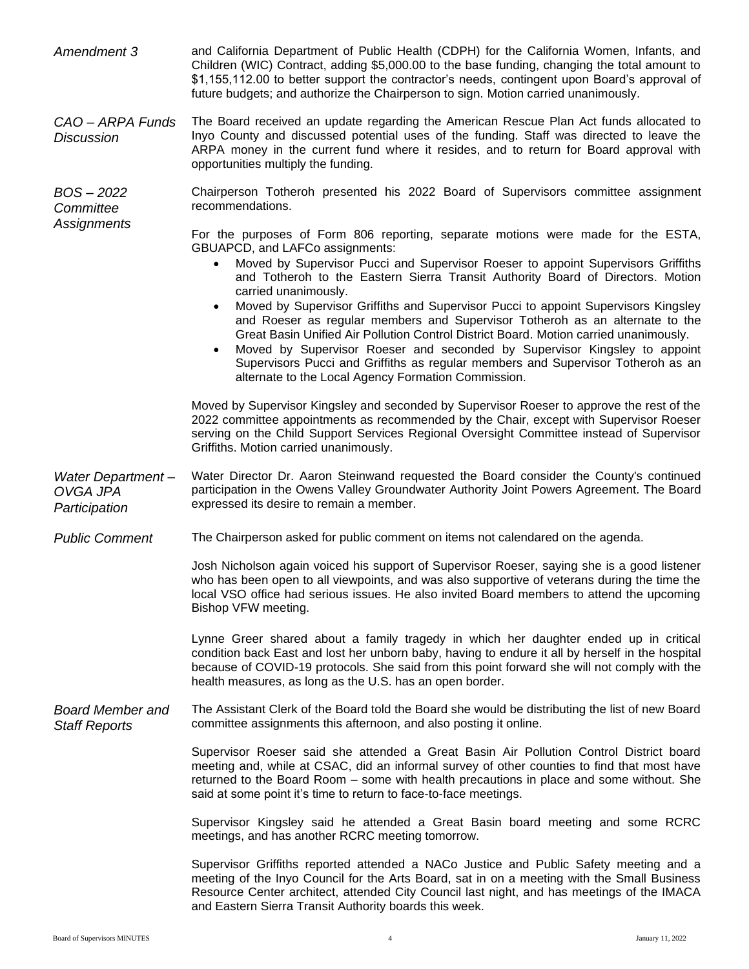| Amendment 3                                     | and California Department of Public Health (CDPH) for the California Women, Infants, and<br>Children (WIC) Contract, adding \$5,000.00 to the base funding, changing the total amount to<br>\$1,155,112.00 to better support the contractor's needs, contingent upon Board's approval of<br>future budgets; and authorize the Chairperson to sign. Motion carried unanimously.                                                                                                                   |
|-------------------------------------------------|--------------------------------------------------------------------------------------------------------------------------------------------------------------------------------------------------------------------------------------------------------------------------------------------------------------------------------------------------------------------------------------------------------------------------------------------------------------------------------------------------|
| CAO - ARPA Funds<br><b>Discussion</b>           | The Board received an update regarding the American Rescue Plan Act funds allocated to<br>Inyo County and discussed potential uses of the funding. Staff was directed to leave the<br>ARPA money in the current fund where it resides, and to return for Board approval with<br>opportunities multiply the funding.                                                                                                                                                                              |
| $BOS - 2022$<br>Committee<br><b>Assignments</b> | Chairperson Totheroh presented his 2022 Board of Supervisors committee assignment<br>recommendations.                                                                                                                                                                                                                                                                                                                                                                                            |
|                                                 | For the purposes of Form 806 reporting, separate motions were made for the ESTA,<br>GBUAPCD, and LAFCo assignments:<br>Moved by Supervisor Pucci and Supervisor Roeser to appoint Supervisors Griffiths<br>$\bullet$<br>and Totheroh to the Eastern Sierra Transit Authority Board of Directors. Motion<br>carried unanimously.                                                                                                                                                                  |
|                                                 | Moved by Supervisor Griffiths and Supervisor Pucci to appoint Supervisors Kingsley<br>$\bullet$<br>and Roeser as regular members and Supervisor Totheroh as an alternate to the<br>Great Basin Unified Air Pollution Control District Board. Motion carried unanimously.<br>Moved by Supervisor Roeser and seconded by Supervisor Kingsley to appoint<br>Supervisors Pucci and Griffiths as regular members and Supervisor Totheroh as an<br>alternate to the Local Agency Formation Commission. |
|                                                 | Moved by Supervisor Kingsley and seconded by Supervisor Roeser to approve the rest of the<br>2022 committee appointments as recommended by the Chair, except with Supervisor Roeser<br>serving on the Child Support Services Regional Oversight Committee instead of Supervisor<br>Griffiths. Motion carried unanimously.                                                                                                                                                                        |
| Water Department-<br>OVGA JPA<br>Participation  | Water Director Dr. Aaron Steinwand requested the Board consider the County's continued<br>participation in the Owens Valley Groundwater Authority Joint Powers Agreement. The Board<br>expressed its desire to remain a member.                                                                                                                                                                                                                                                                  |
| <b>Public Comment</b>                           | The Chairperson asked for public comment on items not calendared on the agenda.                                                                                                                                                                                                                                                                                                                                                                                                                  |
|                                                 | Josh Nicholson again voiced his support of Supervisor Roeser, saying she is a good listener<br>who has been open to all viewpoints, and was also supportive of veterans during the time the<br>local VSO office had serious issues. He also invited Board members to attend the upcoming<br>Bishop VFW meeting.                                                                                                                                                                                  |
|                                                 | Lynne Greer shared about a family tragedy in which her daughter ended up in critical<br>condition back East and lost her unborn baby, having to endure it all by herself in the hospital<br>because of COVID-19 protocols. She said from this point forward she will not comply with the<br>health measures, as long as the U.S. has an open border.                                                                                                                                             |
| <b>Board Member and</b><br><b>Staff Reports</b> | The Assistant Clerk of the Board told the Board she would be distributing the list of new Board<br>committee assignments this afternoon, and also posting it online.                                                                                                                                                                                                                                                                                                                             |
|                                                 | Supervisor Roeser said she attended a Great Basin Air Pollution Control District board<br>meeting and, while at CSAC, did an informal survey of other counties to find that most have<br>returned to the Board Room - some with health precautions in place and some without. She<br>said at some point it's time to return to face-to-face meetings.                                                                                                                                            |
|                                                 | Supervisor Kingsley said he attended a Great Basin board meeting and some RCRC<br>meetings, and has another RCRC meeting tomorrow.                                                                                                                                                                                                                                                                                                                                                               |
|                                                 | Supervisor Griffiths reported attended a NACo Justice and Public Safety meeting and a<br>meeting of the Inyo Council for the Arts Board, sat in on a meeting with the Small Business<br>Resource Center architect, attended City Council last night, and has meetings of the IMACA<br>and Eastern Sierra Transit Authority boards this week.                                                                                                                                                     |